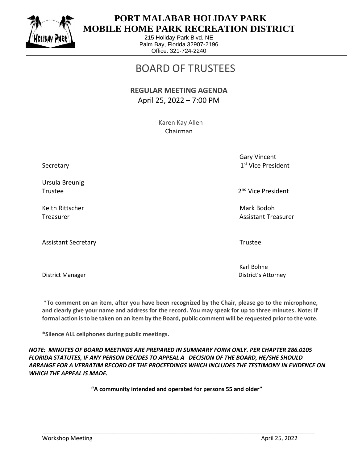

## **PORT MALABAR HOLIDAY PARK MOBILE HOME PARK RECREATION DISTRICT**

215 Holiday Park Blvd. NE Palm Bay, Florida 32907-2196 Office: 321-724-2240

# BOARD OF TRUSTEES

#### **REGULAR MEETING AGENDA** April 25, 2022 – 7:00 PM

 Karen Kay Allen Chairman

> Gary Vincent 1st Vice President

2<sup>nd</sup> Vice President

Treasurer Assistant Treasurer Assistant Treasurer Assistant Treasurer Assistant Treasurer

Karl Bohne District Manager District's Attorney

**\*To comment on an item, after you have been recognized by the Chair, please go to the microphone, and clearly give your name and address for the record. You may speak for up to three minutes. Note: If formal action is to be taken on an item by the Board, public comment will be requested prior to the vote.**

**\*Silence ALL cellphones during public meetings.**

*NOTE: MINUTES OF BOARD MEETINGS ARE PREPARED IN SUMMARY FORM ONLY. PER CHAPTER 286.0105 FLORIDA STATUTES, IF ANY PERSON DECIDES TO APPEAL A DECISION OF THE BOARD, HE/SHE SHOULD ARRANGE FOR A VERBATIM RECORD OF THE PROCEEDINGS WHICH INCLUDES THE TESTIMONY IN EVIDENCE ON WHICH THE APPEAL IS MADE.*

**"A community intended and operated for persons 55 and older"**

\_\_\_\_\_\_\_\_\_\_\_\_\_\_\_\_\_\_\_\_\_\_\_\_\_\_\_\_\_\_\_\_\_\_\_\_\_\_\_\_\_\_\_\_\_\_\_\_\_\_\_\_\_\_\_\_\_\_\_\_\_\_\_\_\_\_\_\_\_\_\_\_\_\_\_\_\_\_\_\_\_\_\_\_\_

Secretary

Ursula Breunig Trustee 2012 and 2012 and 2012 and 2012 and 2012 and 2012 and 2012 and 2012 and 2012 and 2012 and 2013 and 201

Keith Rittscher Mark Bodoh (Mark Bodoh Mark Bodoh Mark Bodoh Mark Bodoh Mark Bodoh Mark Bodoh Mark Bodoh Mark Bodoh

Assistant Secretary **Trustee** and the secretary of the secretary and the secretary **Trustee**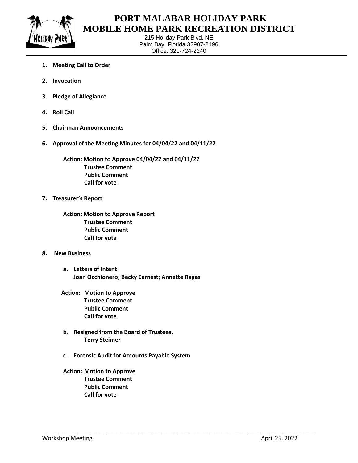

#### **PORT MALABAR HOLIDAY PARK MOBILE HOME PARK RECREATION DISTRICT**

215 Holiday Park Blvd. NE Palm Bay, Florida 32907-2196 Office: 321-724-2240

- **1. Meeting Call to Order**
- **2. Invocation**
- **3. Pledge of Allegiance**
- **4. Roll Call**
- **5. Chairman Announcements**
- **6. Approval of the Meeting Minutes for 04/04/22 and 04/11/22**

**Action: Motion to Approve 04/04/22 and 04/11/22 Trustee Comment Public Comment Call for vote**

- **7. Treasurer's Report**
	- **Action: Motion to Approve Report Trustee Comment Public Comment Call for vote**
- **8. New Business**
	- **a. Letters of Intent Joan Occhionero; Becky Earnest; Annette Ragas**
	- **Action: Motion to Approve Trustee Comment Public Comment Call for vote**
	- **b. Resigned from the Board of Trustees. Terry Steimer**
	- **c. Forensic Audit for Accounts Payable System**

\_\_\_\_\_\_\_\_\_\_\_\_\_\_\_\_\_\_\_\_\_\_\_\_\_\_\_\_\_\_\_\_\_\_\_\_\_\_\_\_\_\_\_\_\_\_\_\_\_\_\_\_\_\_\_\_\_\_\_\_\_\_\_\_\_\_\_\_\_\_\_\_\_\_\_\_\_\_\_\_\_\_\_\_\_

**Action: Motion to Approve Trustee Comment Public Comment Call for vote**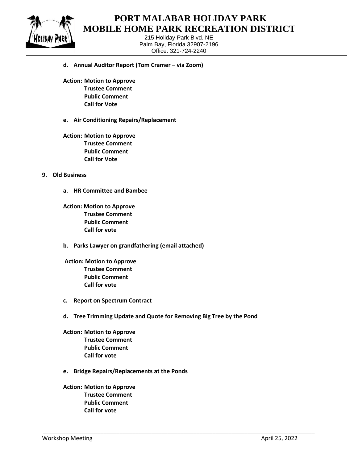

#### **PORT MALABAR HOLIDAY PARK MOBILE HOME PARK RECREATION DISTRICT**

215 Holiday Park Blvd. NE Palm Bay, Florida 32907-2196 Office: 321-724-2240

- **d. Annual Auditor Report (Tom Cramer – via Zoom)**
- **Action: Motion to Approve Trustee Comment Public Comment Call for Vote**
- **e. Air Conditioning Repairs/Replacement**
- **Action: Motion to Approve Trustee Comment Public Comment Call for Vote**

#### **9. Old Business**

- **a. HR Committee and Bambee**
- **Action: Motion to Approve Trustee Comment Public Comment Call for vote**
- **b. Parks Lawyer on grandfathering (email attached)**
- **Action: Motion to Approve Trustee Comment Public Comment Call for vote**
- **c. Report on Spectrum Contract**
- **d. Tree Trimming Update and Quote for Removing Big Tree by the Pond**

\_\_\_\_\_\_\_\_\_\_\_\_\_\_\_\_\_\_\_\_\_\_\_\_\_\_\_\_\_\_\_\_\_\_\_\_\_\_\_\_\_\_\_\_\_\_\_\_\_\_\_\_\_\_\_\_\_\_\_\_\_\_\_\_\_\_\_\_\_\_\_\_\_\_\_\_\_\_\_\_\_\_\_\_\_

- **Action: Motion to Approve Trustee Comment Public Comment Call for vote**
- **e. Bridge Repairs/Replacements at the Ponds**
- **Action: Motion to Approve Trustee Comment Public Comment Call for vote**